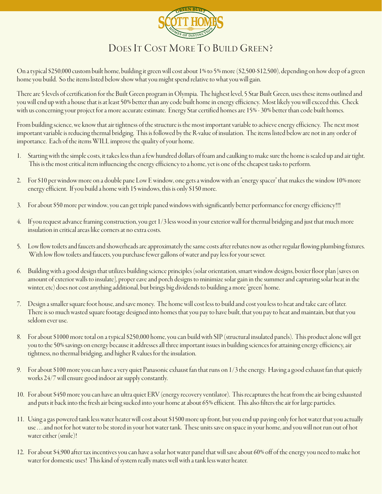

## DOES IT COST MORE TO BUILD GREEN?

On a typical \$250,000 custom built home, building it green will cost about 1% to 5% more (\$2,500-\$12,500), depending on how deep of a green home you build. So the items listed below show what you might spend relative to what you will gain.

There are 5 levels of certification for the Built Green program in Olympia. The highest level, 5 Star Built Green, uses these items outlined and you will end up with a house that is at least 50% better than any code built home in energy efficiency. Most likely you will exceed this. Check with us concerning your project for a more accurate estimate. Energy Star certified homes are 15% - 30% better than code built homes.

From building science, we know that air tightness of the structure is the most important variable to achieve energy efficiency. The next most important variable is reducing thermal bridging. This is followed by the R-value of insulation. The items listed below are not in any order of importance. Each of the items WILL improve the quality of your home.

- Starting with the simple costs, it takes less than a few hundred dollars of foam and caulking to make sure the home is sealed up and air tight. This is the most critical item influencing the energy efficiency to a home, yet is one of the cheapest tasks to perform.
- 2. For \$10 per window more on a double pane Low E window, one gets a window with an "energy spacer" that makes the window 10% more energy efficient. If you build a home with 15 windows, this is only \$150 more.
- 3. For about \$50 more per window, you can get triple paned windows with significantly better performance for energy efficiency!!!
- 4. If you request advance framing construction, you get 1/3 less wood in your exterior wall for thermal bridging and just that much more insulation in critical areas like corners at no extra costs.
- 5. Low flow toilets and faucets and showerheads are approximately the same costs after rebates now as other regular flowing plumbing fixtures. With low flow toilets and faucets, you purchase fewer gallons of water and pay less for your sewer.
- 6. Building with a good design that utilizes building science principles (solar orientation, smart window designs, boxier floor plan [saves on amount of exterior walls to insulate], proper eave and porch designs to minimize solar gain in the summer and capturing solar heat in the winter, etc) does not cost anything additional, but brings big dividends to building a more "green" home.
- 7. Design a smaller square foot house, and save money. The home will cost less to build and cost you less to heat and take care of later. There is so much wasted square footage designed into homes that you pay to have built, that you pay to heat and maintain, but that you seldom ever use.
- 8. For about \$1000 more total on a typical \$250,000 home, you can build with SIP (structural insulated panels). This product alone will get you to the 50% savings on energy because it addresses all three important issues in building sciences for attaining energy efficiency, air tightness, no thermal bridging, and higher R values for the insulation.
- 9. For about \$100 more you can have a very quiet Panasonic exhaust fan that runs on 1/3 the energy. Having a good exhaust fan that quietly works 24/7 will ensure good indoor air supply constantly.
- 10. For about \$450 more you can have an ultra quiet ERV (energy recovery ventilator). This recaptures the heat from the air being exhausted and puts it back into the fresh air being sucked into your home at about 65% efficient. This also filters the air for large particles.
- 11. Using a gas powered tank less water heater will cost about \$1500 more up front, but you end up paying only for hot water that you actually use . . . and not for hot water to be stored in your hot water tank. These units save on space in your home, and you will not run out of hot water either (smile)!
- 12. For about \$4,900 after tax incentives you can have a solar hot water panel that will save about 60% off of the energy you need to make hot water for domestic uses! This kind of system really mates well with a tank less water heater.